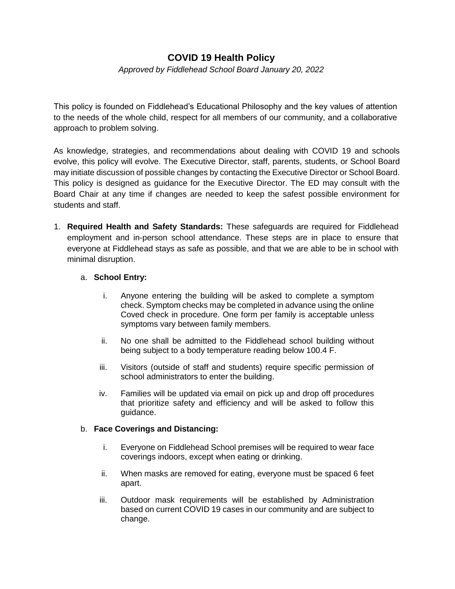## **COVID 19 Health Policy**

*Approved by Fiddlehead School Board January 20, 2022* 

This policy is founded on Fiddlehead's Educational Philosophy and the key values of attention to the needs of the whole child, respect for all members of our community, and a collaborative approach to problem solving.

As knowledge, strategies, and recommendations about dealing with COVID 19 and schools evolve, this policy will evolve. The Executive Director, staff, parents, students, or School Board may initiate discussion of possible changes by contacting the Executive Director or School Board. This policy is designed as guidance for the Executive Director. The ED may consult with the Board Chair at any time if changes are needed to keep the safest possible environment for students and staff.

1. **Required Health and Safety Standards:** These safeguards are required for Fiddlehead employment and in-person school attendance. These steps are in place to ensure that everyone at Fiddlehead stays as safe as possible, and that we are able to be in school with minimal disruption.

## a. **School Entry:**

- i. Anyone entering the building will be asked to complete a symptom check. Symptom checks may be completed in advance using the online Coved check in procedure. One form per family is acceptable unless symptoms vary between family members.
- ii. No one shall be admitted to the Fiddlehead school building without being subject to a body temperature reading below 100.4 F.
- iii. Visitors (outside of staff and students) require specific permission of school administrators to enter the building.
- iv. Families will be updated via email on pick up and drop off procedures that prioritize safety and efficiency and will be asked to follow this guidance.

## b. **Face Coverings and Distancing:**

- i. Everyone on Fiddlehead School premises will be required to wear face coverings indoors, except when eating or drinking.
- ii. When masks are removed for eating, everyone must be spaced 6 feet apart.
- iii. Outdoor mask requirements will be established by Administration based on current COVID 19 cases in our community and are subject to change.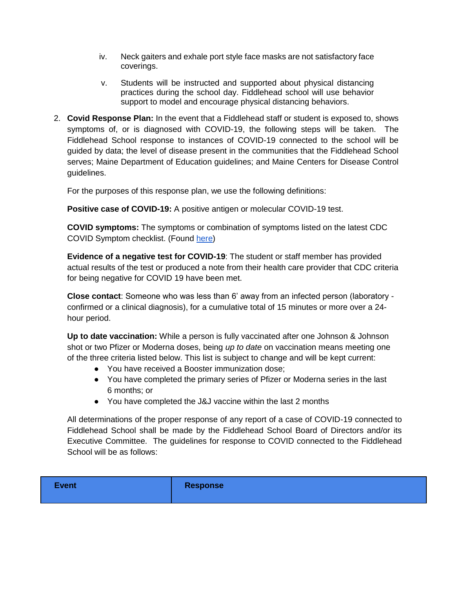- iv. Neck gaiters and exhale port style face masks are not satisfactory face coverings.
- v. Students will be instructed and supported about physical distancing practices during the school day. Fiddlehead school will use behavior support to model and encourage physical distancing behaviors.
- 2. **Covid Response Plan:** In the event that a Fiddlehead staff or student is exposed to, shows symptoms of, or is diagnosed with COVID-19, the following steps will be taken. The Fiddlehead School response to instances of COVID-19 connected to the school will be guided by data; the level of disease present in the communities that the Fiddlehead School serves; Maine Department of Education guidelines; and Maine Centers for Disease Control guidelines.

For the purposes of this response plan, we use the following definitions:

**Positive case of COVID-19:** A positive antigen or molecular COVID-19 test.

**COVID symptoms:** The symptoms or combination of symptoms listed on the latest CDC COVID Symptom checklist. (Found [here\)](https://www.cdc.gov/coronavirus/2019-ncov/symptoms-testing/symptoms.html)

**Evidence of a negative test for COVID-19**: The student or staff member has provided actual results of the test or produced a note from their health care provider that CDC criteria for being negative for COVID 19 have been met.

**Close contact**: Someone who was less than 6' away from an infected person (laboratory confirmed or a clinical diagnosis), for a cumulative total of 15 minutes or more over a 24 hour period.

**Up to date vaccination:** While a person is fully vaccinated after one Johnson & Johnson shot or two Pfizer or Moderna doses, being *up to date* on vaccination means meeting one of the three criteria listed below. This list is subject to change and will be kept current:

- You have received a Booster immunization dose;
- You have completed the primary series of Pfizer or Moderna series in the last 6 months; or
- You have completed the J&J vaccine within the last 2 months

All determinations of the proper response of any report of a case of COVID-19 connected to Fiddlehead School shall be made by the Fiddlehead School Board of Directors and/or its Executive Committee. The guidelines for response to COVID connected to the Fiddlehead School will be as follows:

**Event Response**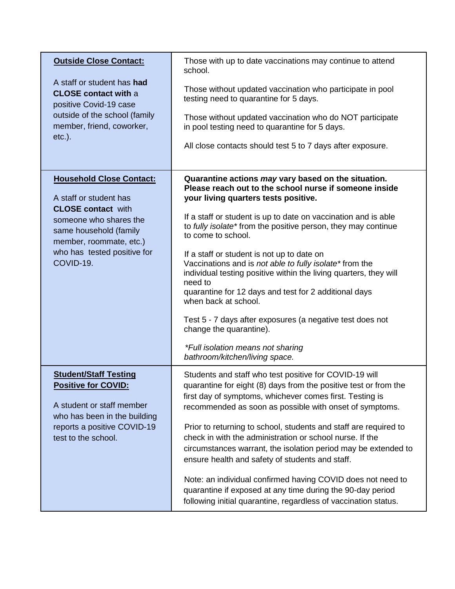| <b>Outside Close Contact:</b>                                                                                                                                  | Those with up to date vaccinations may continue to attend<br>school.                                                                                                                                                                                                   |
|----------------------------------------------------------------------------------------------------------------------------------------------------------------|------------------------------------------------------------------------------------------------------------------------------------------------------------------------------------------------------------------------------------------------------------------------|
| A staff or student has had<br><b>CLOSE</b> contact with a<br>positive Covid-19 case<br>outside of the school (family<br>member, friend, coworker,<br>$etc.$ ). | Those without updated vaccination who participate in pool<br>testing need to quarantine for 5 days.                                                                                                                                                                    |
|                                                                                                                                                                | Those without updated vaccination who do NOT participate<br>in pool testing need to quarantine for 5 days.                                                                                                                                                             |
|                                                                                                                                                                | All close contacts should test 5 to 7 days after exposure.                                                                                                                                                                                                             |
| <b>Household Close Contact:</b><br>A staff or student has                                                                                                      | Quarantine actions may vary based on the situation.<br>Please reach out to the school nurse if someone inside<br>your living quarters tests positive.                                                                                                                  |
| <b>CLOSE contact with</b><br>someone who shares the<br>same household (family<br>member, roommate, etc.)<br>who has tested positive for<br>COVID-19.           | If a staff or student is up to date on vaccination and is able<br>to fully isolate* from the positive person, they may continue<br>to come to school.                                                                                                                  |
|                                                                                                                                                                | If a staff or student is not up to date on<br>Vaccinations and is not able to fully isolate* from the<br>individual testing positive within the living quarters, they will<br>need to<br>quarantine for 12 days and test for 2 additional days<br>when back at school. |
|                                                                                                                                                                | Test 5 - 7 days after exposures (a negative test does not<br>change the quarantine).                                                                                                                                                                                   |
|                                                                                                                                                                | *Full isolation means not sharing<br>bathroom/kitchen/living space.                                                                                                                                                                                                    |
| <b>Student/Staff Testing</b><br><b>Positive for COVID:</b><br>A student or staff member<br>who has been in the building                                        | Students and staff who test positive for COVID-19 will<br>quarantine for eight (8) days from the positive test or from the<br>first day of symptoms, whichever comes first. Testing is<br>recommended as soon as possible with onset of symptoms.                      |
| reports a positive COVID-19<br>test to the school.                                                                                                             | Prior to returning to school, students and staff are required to<br>check in with the administration or school nurse. If the<br>circumstances warrant, the isolation period may be extended to<br>ensure health and safety of students and staff.                      |
|                                                                                                                                                                | Note: an individual confirmed having COVID does not need to<br>quarantine if exposed at any time during the 90-day period<br>following initial quarantine, regardless of vaccination status.                                                                           |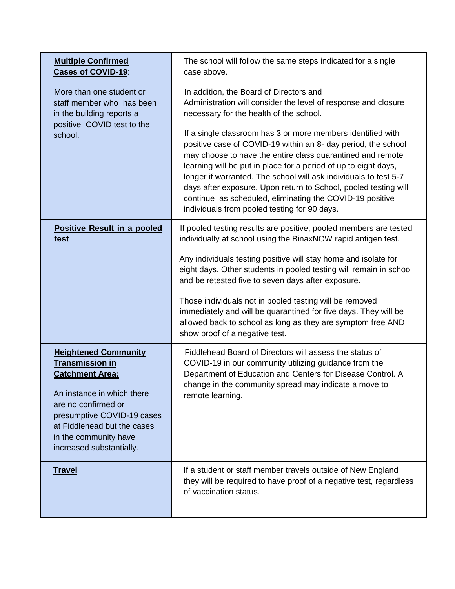| <b>Multiple Confirmed</b><br><b>Cases of COVID-19:</b>                                                           | The school will follow the same steps indicated for a single<br>case above.                                                                                                                                                                                                                                                                                                                                                                       |
|------------------------------------------------------------------------------------------------------------------|---------------------------------------------------------------------------------------------------------------------------------------------------------------------------------------------------------------------------------------------------------------------------------------------------------------------------------------------------------------------------------------------------------------------------------------------------|
| More than one student or<br>staff member who has been<br>in the building reports a<br>positive COVID test to the | In addition, the Board of Directors and<br>Administration will consider the level of response and closure<br>necessary for the health of the school.<br>If a single classroom has 3 or more members identified with                                                                                                                                                                                                                               |
| school.                                                                                                          | positive case of COVID-19 within an 8- day period, the school<br>may choose to have the entire class quarantined and remote<br>learning will be put in place for a period of up to eight days,<br>longer if warranted. The school will ask individuals to test 5-7<br>days after exposure. Upon return to School, pooled testing will<br>continue as scheduled, eliminating the COVID-19 positive<br>individuals from pooled testing for 90 days. |
| <b>Positive Result in a pooled</b><br><u>test</u>                                                                | If pooled testing results are positive, pooled members are tested<br>individually at school using the BinaxNOW rapid antigen test.                                                                                                                                                                                                                                                                                                                |
|                                                                                                                  | Any individuals testing positive will stay home and isolate for<br>eight days. Other students in pooled testing will remain in school<br>and be retested five to seven days after exposure.                                                                                                                                                                                                                                                       |
|                                                                                                                  | Those individuals not in pooled testing will be removed<br>immediately and will be quarantined for five days. They will be<br>allowed back to school as long as they are symptom free AND<br>show proof of a negative test.                                                                                                                                                                                                                       |
| <b>Heightened Community</b><br><b>Transmission in</b><br><b>Catchment Area:</b><br>An instance in which there    | Fiddlehead Board of Directors will assess the status of<br>COVID-19 in our community utilizing guidance from the<br>Department of Education and Centers for Disease Control. A<br>change in the community spread may indicate a move to<br>remote learning.                                                                                                                                                                                       |
| are no confirmed or<br>presumptive COVID-19 cases<br>at Fiddlehead but the cases                                 |                                                                                                                                                                                                                                                                                                                                                                                                                                                   |
| in the community have<br>increased substantially.                                                                |                                                                                                                                                                                                                                                                                                                                                                                                                                                   |
| <b>Travel</b>                                                                                                    | If a student or staff member travels outside of New England<br>they will be required to have proof of a negative test, regardless<br>of vaccination status.                                                                                                                                                                                                                                                                                       |